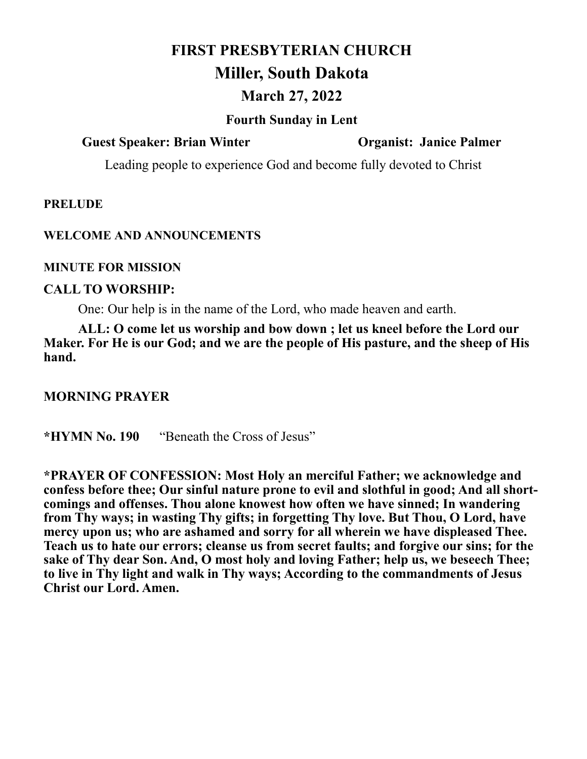# **FIRST PRESBYTERIAN CHURCH Miller, South Dakota**

# **March 27, 2022**

#### **Fourth Sunday in Lent**

#### **Guest Speaker: Brian Winter Organist: Janice Palmer**

Leading people to experience God and become fully devoted to Christ

#### **PRELUDE**

#### **WELCOME AND ANNOUNCEMENTS**

#### **MINUTE FOR MISSION**

#### **CALL TO WORSHIP:**

One: Our help is in the name of the Lord, who made heaven and earth.

**ALL: O come let us worship and bow down ; let us kneel before the Lord our Maker. For He is our God; and we are the people of His pasture, and the sheep of His hand.**

#### **MORNING PRAYER**

**\*HYMN No. 190** "Beneath the Cross of Jesus"

**\*PRAYER OF CONFESSION: Most Holy an merciful Father; we acknowledge and confess before thee; Our sinful nature prone to evil and slothful in good; And all shortcomings and offenses. Thou alone knowest how often we have sinned; In wandering from Thy ways; in wasting Thy gifts; in forgetting Thy love. But Thou, O Lord, have mercy upon us; who are ashamed and sorry for all wherein we have displeased Thee. Teach us to hate our errors; cleanse us from secret faults; and forgive our sins; for the sake of Thy dear Son. And, O most holy and loving Father; help us, we beseech Thee; to live in Thy light and walk in Thy ways; According to the commandments of Jesus Christ our Lord. Amen.**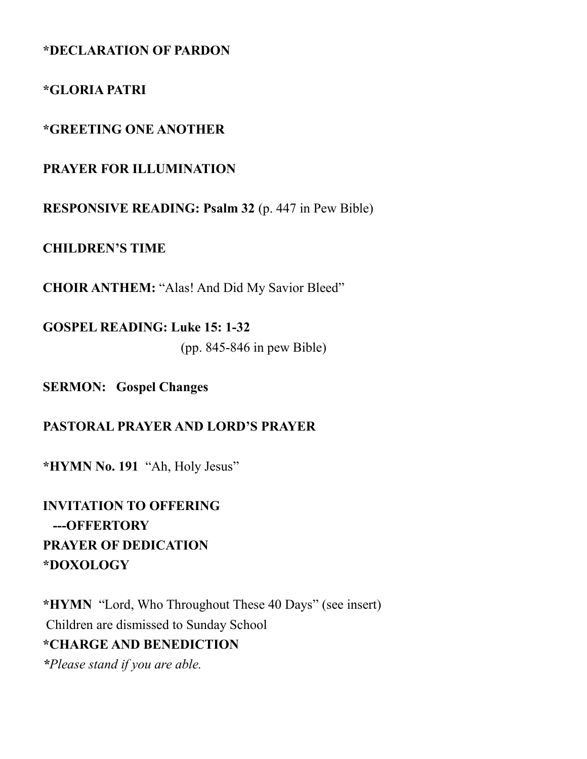#### **\*DECLARATION OF PARDON**

#### **\*GLORIA PATRI**

#### **\*GREETING ONE ANOTHER**

#### **PRAYER FOR ILLUMINATION**

**RESPONSIVE READING: Psalm 32** (p. 447 in Pew Bible)

**CHILDREN'S TIME**

**CHOIR ANTHEM:** "Alas! And Did My Savior Bleed"

**GOSPEL READING: Luke 15: 1-32**  (pp. 845-846 in pew Bible)

**SERMON: Gospel Changes**

#### **PASTORAL PRAYER AND LORD'S PRAYER**

**\*HYMN No. 191** "Ah, Holy Jesus"

**INVITATION TO OFFERING ---OFFERTORY PRAYER OF DEDICATION \*DOXOLOGY**

**\*HYMN** "Lord, Who Throughout These 40 Days" (see insert) Children are dismissed to Sunday School **\*CHARGE AND BENEDICTION** *\*Please stand if you are able.*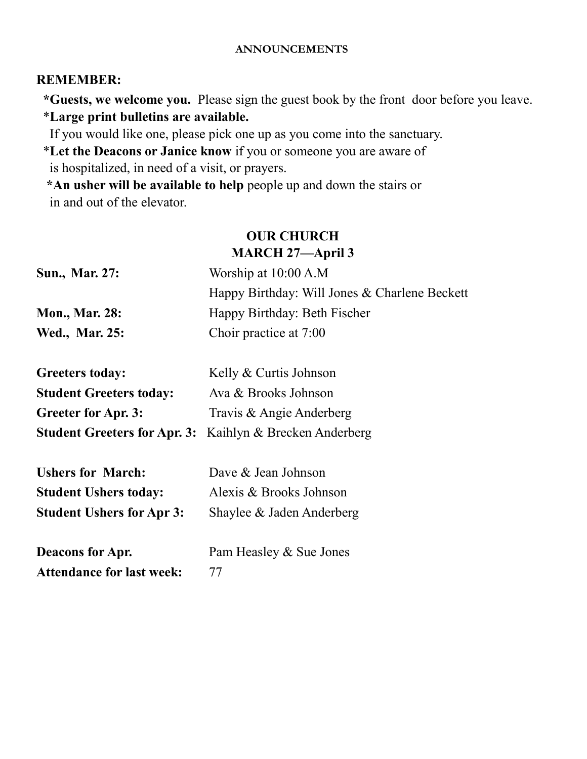#### **ANNOUNCEMENTS**

#### **REMEMBER:**

 **\*Guests, we welcome you.** Please sign the guest book by the front door before you leave. \***Large print bulletins are available.** 

If you would like one, please pick one up as you come into the sanctuary.

 \***Let the Deacons or Janice know** if you or someone you are aware of is hospitalized, in need of a visit, or prayers.

 **\*An usher will be available to help** people up and down the stairs or in and out of the elevator.

## **OUR CHURCH MARCH 27—April 3**

| Sun., Mar. 27:        | Worship at $10:00$ A.M                        |
|-----------------------|-----------------------------------------------|
|                       | Happy Birthday: Will Jones & Charlene Beckett |
| <b>Mon., Mar. 28:</b> | Happy Birthday: Beth Fischer                  |
| <b>Wed., Mar. 25:</b> | Choir practice at 7:00                        |

| <b>Greeters today:</b>         | Kelly & Curtis Johnson                                          |
|--------------------------------|-----------------------------------------------------------------|
| <b>Student Greeters today:</b> | Ava & Brooks Johnson                                            |
| <b>Greeter for Apr. 3:</b>     | Travis & Angie Anderberg                                        |
|                                | <b>Student Greeters for Apr. 3:</b> Kaihlyn & Brecken Anderberg |

| <b>Ushers for March:</b>         | Dave & Jean Johnson       |
|----------------------------------|---------------------------|
| <b>Student Ushers today:</b>     | Alexis & Brooks Johnson   |
| <b>Student Ushers for Apr 3:</b> | Shaylee & Jaden Anderberg |

**Deacons for Apr.** Pam Heasley & Sue Jones Attendance for last week: 77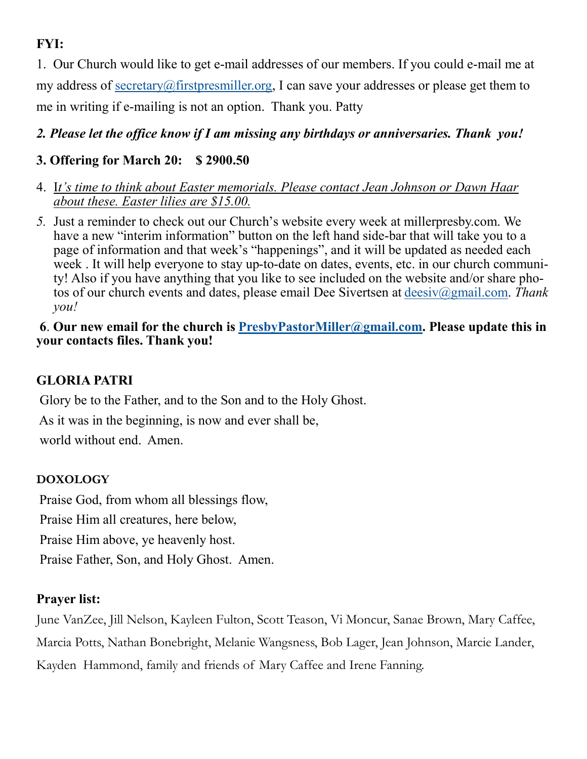# **FYI:**

1. Our Church would like to get e-mail addresses of our members. If you could e-mail me at my address of [secretary@firstpresmiller.org,](mailto:secretary@firstpresmiller.org) I can save your addresses or please get them to me in writing if e-mailing is not an option. Thank you. Patty

# *2. Please let the office know if I am missing any birthdays or anniversaries. Thank you!*

# **3. Offering for March 20: \$ 2900.50**

- 4. I*t's time to think about Easter memorials. Please contact Jean Johnson or Dawn Haar about these. Easter lilies are \$15.00.*
- *5.* Just a reminder to check out our Church's website every week at millerpresby.com. We have a new "interim information" button on the left hand side-bar that will take you to a page of information and that week's "happenings", and it will be updated as needed each week . It will help everyone to stay up-to-date on dates, events, etc. in our church community! Also if you have anything that you like to see included on the website and/or share photos of our church events and dates, please email Dee Sivertsen at [deesiv@gmail.com.](mailto:deesiv@gmail.com) *Thank you!*

#### **6**. **Our new email for the church is [PresbyPastorMiller@gmail.com.](mailto:PresbyPastorMiller@gmail.com) Please update this in your contacts files. Thank you!**

# **GLORIA PATRI**

Glory be to the Father, and to the Son and to the Holy Ghost.

As it was in the beginning, is now and ever shall be,

world without end. Amen.

## **DOXOLOGY**

Praise God, from whom all blessings flow,

Praise Him all creatures, here below,

Praise Him above, ye heavenly host.

Praise Father, Son, and Holy Ghost. Amen.

## **Prayer list:**

June VanZee, Jill Nelson, Kayleen Fulton, Scott Teason, Vi Moncur, Sanae Brown, Mary Caffee, Marcia Potts, Nathan Bonebright, Melanie Wangsness, Bob Lager, Jean Johnson, Marcie Lander, Kayden Hammond, family and friends of Mary Caffee and Irene Fanning.